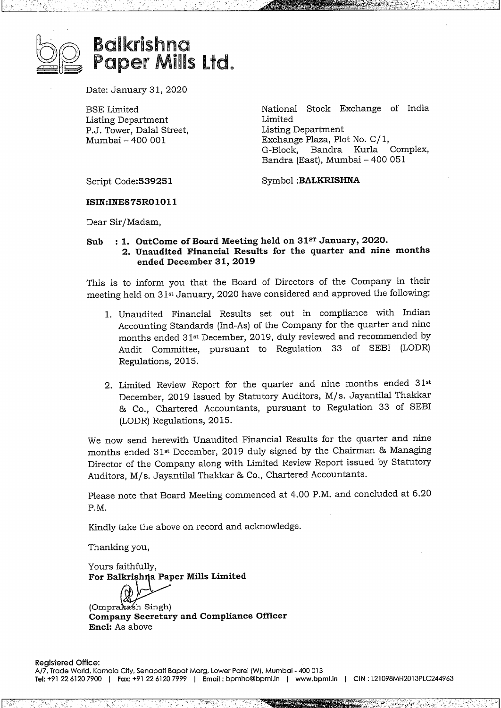

## Balkrishna Paper Mlis Ltd.

Date: January 31, 2020

ESE Limited Listing Department P.J. Tower, Dalal Street, Mumbai - 400 001

National Stock Exchange of India Limited Listing Department Exchange Plaza, Plot No. C/ 1, G-Block, Bandra Kurla Complex, Bandra (East), Mumbai- <sup>400</sup> 051

Script Code:539251

Symbol **:BALKRISHNA**

**ISIN:INE875R01011**

Dear Sir/Madam,

## **Sub :1. OutCome of Board Meeting held on 31ST January, 2020.**

**2. Unaudited Financial Results for the quarter and nine months ended December 31, 2019**

This is to inform you that the Board of Directors of the Company in their meeting held on 31st January, 2020 have considered and approved the following:

- 1. Unaudited Financial Results set out in compliance with Indian Accounting Standards (Ind-As) of the Company for the quarter and nine months ended 31st December, 2019, duly reviewed and recommended by Audit Committee, pursuant to Regulation 33 of SEBI (LODR) Regulations, 2015.
- 2. Limited Review Report for the quarter and nine months ended 31s December, 2019 issued by Statutory Auditors, M/s. Jayantilal Thakkar & Co., Chartered Accountants, pursuant to Regulation 33 of SEBI (LODR) Regulations, 2015.

We now send herewith Unaudited Financial Results for the quarter and nine months ended 31<sup>st</sup> December, 2019 duly signed by the Chairman & Managing Director of the Company along with Limited Review Report issued by Statutory Auditors, M/s. Jayantilal Thakkar & Co., Chartered Accountants.

Please note that Board Meeting commenced at 4.00 P.M. and concluded at 6.20 P.M.

Kindly take the above on record and acknowledge.

Thanking you,

Yours faithfully, **For Balkri ,h: a Paper Mills Limited**

(Omprakash Singh) **Company Secretary and Compliance Officer Encl:** As above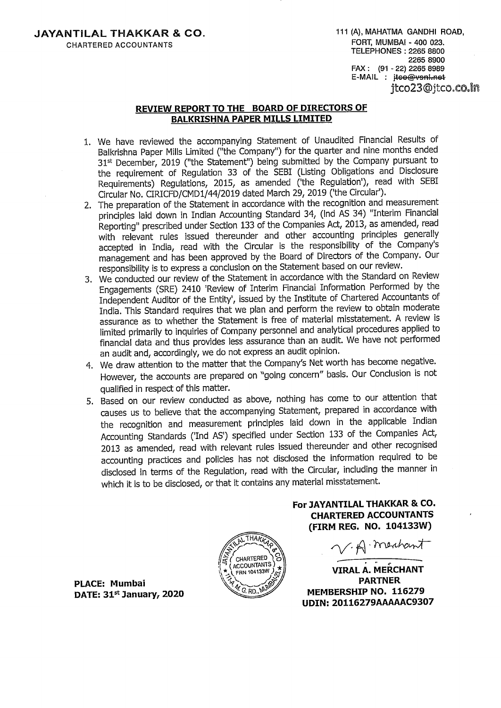## **REVIEW REPORT TO THE BOARD OF DIRECTORS OF BALKRISHNA PAPER MILLS LIMITED**

- 1. We have reviewed the accompanying Statement of Unaudited Financial Results of Balkrishna Paper Mills Limited ("the Company") for the quarter and nine months ended 31<sup>st</sup> December, 2019 ("the Statement") being submitted by the Company pursuant to the requirement of Regulation <sup>33</sup> of the SEBI (Listing Obligations and Disclosure Requirements) Regulations, 2015, as amended ('the Regulation'), read with SEBI Circular No. CIRICFD/CMDl/44/2019 dated March 29, <sup>2019</sup> ('the Circular').
- 2. The preparation of the Statement in accordance with the recognition and measurement principles laid down in Indian Accounting Standard 34, (Ind AS 34) "Interim Financial Reporting" prescribed under Section 133 of the Companies Act, 2013, as amended, read with relevant rules issued thereunder and other accounting principles generally accepted in India, read with the Circular is the responsibility of the Company's management and has been approved by the Board of Directors of the Company. Our responsibility is to express <sup>a</sup> conclusion on the Statement based on our review.
- 3. We conducted our review of the Statement in accordance with the Standard on Review Engagements (SRE) 2410 'Review of Interim Financial Information Performed by the Independent Auditor of the Entity', issued by the Institute of Chartered Accountants of India. This Standard requires that we plan and perform the review to obtain moderate assurance as to whether the Statement is free of material misstatement. <sup>A</sup> review is limited primarily to inquiries of Company personnel and analytical procedures applied to financial data and thus provides less assurance than an audit. We have not performed an audit and, accordingly, we do not express an audit opinion.
- 4. We draw attention to the matter that the Company's Net worth has become negative. However, the accounts are prepared on "going concern" basis. Our Conclusion is not qualified in respect of this matter.
- 5. Based on our review conducted as above, nothing has come to our attention that causes us to believe that the accompanying Statement, prepared in accordance with the recognition and measurement principles laid down in the applicable Indian Accounting Standards ('Ind AS') specified under Section <sup>133</sup> of the Companies Act, 2013 as amended, read with relevant rules issued thereunder and other recognised accounting practices and policies has not disclosed the information required to be disclosed in terms of the Regulation, read with the Circular, including the manner in which it is to be disclosed, or that it contains any material misstatement.



**PLACE: Mumbai DATE: 31 January, <sup>2020</sup>** **For JAYANTILAL THAKKAR & CO. CHARTERED ACCOUNTANTS (FIRM REG. NO. 104133W)**

V.A. meabant

**VIRAL A. MERCHANT PARTNER MEMBERSHIP NO. <sup>116279</sup> UDIN:20116279AAAAAC9307**